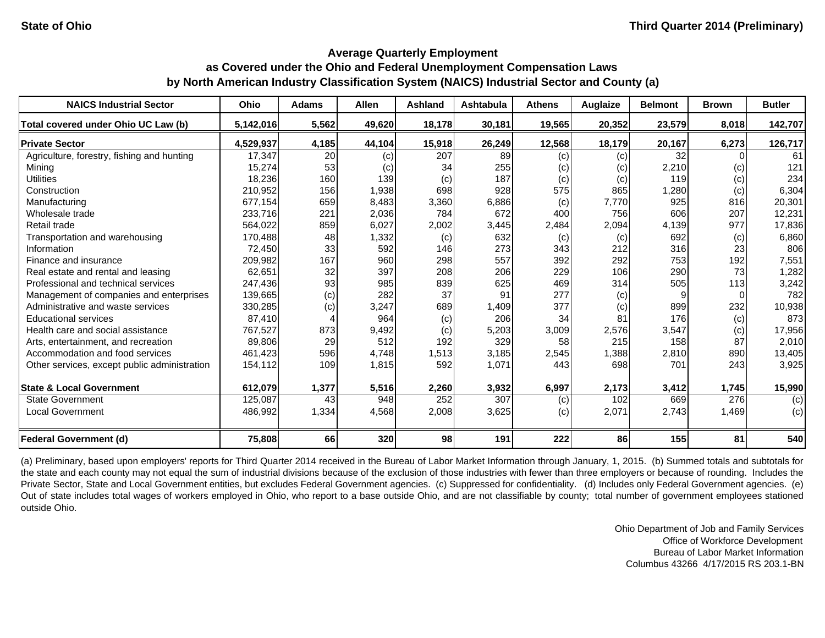#### **Average Quarterly Employment**

# **as Covered under the Ohio and Federal Unemployment Compensation Laws by North American Industry Classification System (NAICS) Industrial Sector and County (a)**

| <b>NAICS Industrial Sector</b>               | Ohio      | <b>Adams</b> | <b>Allen</b> | Ashland | <b>Ashtabula</b> | <b>Athens</b> | <b>Auglaize</b> | <b>Belmont</b>  | <b>Brown</b> | <b>Butler</b> |
|----------------------------------------------|-----------|--------------|--------------|---------|------------------|---------------|-----------------|-----------------|--------------|---------------|
| Total covered under Ohio UC Law (b)          | 5,142,016 | 5,562        | 49,620       | 18,178  | 30,181           | 19,565        | 20,352          | 23,579          | 8,018        | 142,707       |
| <b>Private Sector</b>                        | 4,529,937 | 4,185        | 44,104       | 15,918  | 26,249           | 12,568        | 18,179          | 20,167          | 6,273        | 126,717       |
| Agriculture, forestry, fishing and hunting   | 17,347    | 20           | (c)          | 207     | 89               | (c)           | (c)             | 32 <sub>l</sub> |              | 61            |
| Mining                                       | 15,274    | 53           | (c)          | 34      | 255              | (c)           | (c)             | 2,210           | (c)          | 121           |
| <b>Utilities</b>                             | 18,236    | 160          | 139          | (c)     | 187              | (c)           | (c)             | 119             | (c)          | 234           |
| Construction                                 | 210,952   | 156          | 1,938        | 698     | 928              | 575           | 865             | 1,280           | (c)          | 6,304         |
| Manufacturing                                | 677,154   | 659          | 8,483        | 3,360   | 6,886            | (c)           | 7,770           | 925             | 816          | 20,301        |
| Wholesale trade                              | 233,716   | 221          | 2,036        | 784     | 672              | 400           | 756             | 606             | 207          | 12,231        |
| Retail trade                                 | 564,022   | 859          | 6,027        | 2,002   | 3,445            | 2,484         | 2,094           | 4,139           | 977          | 17,836        |
| Transportation and warehousing               | 170,488   | 48           | 1,332        | (c)     | 632              | (c)           | (c)             | 692             | (c)          | 6,860         |
| Information                                  | 72,450    | 33           | 592          | 146     | 273              | 343           | 212             | 316             | 23           | 806           |
| Finance and insurance                        | 209,982   | 167          | 960          | 298     | 557              | 392           | 292             | 753             | 192          | 7,551         |
| Real estate and rental and leasing           | 62.651    | 32           | 397          | 208     | 206              | 229           | 106             | 290             | 73           | 1,282         |
| Professional and technical services          | 247,436   | 93           | 985          | 839     | 625              | 469           | 314             | 505             | 113          | 3,242         |
| Management of companies and enterprises      | 139,665   | (c)          | 282          | 37      | 91               | 277           | (c)             | 9               |              | 782           |
| Administrative and waste services            | 330,285   | (c)          | 3,247        | 689     | 1,409            | 377           | (c)             | 899             | 232          | 10,938        |
| <b>Educational services</b>                  | 87,410    |              | 964          | (c)     | 206              | 34            | 81              | 176             | (c)          | 873           |
| Health care and social assistance            | 767,527   | 873          | 9,492        | (c)     | 5,203            | 3,009         | 2,576           | 3,547           | (c)          | 17,956        |
| Arts, entertainment, and recreation          | 89,806    | 29           | 512          | 192     | 329              | 58            | 215             | 158             | 87           | 2,010         |
| Accommodation and food services              | 461,423   | 596          | 4,748        | 1,513   | 3,185            | 2,545         | 1,388           | 2,810           | 890          | 13,405        |
| Other services, except public administration | 154,112   | 109          | 1,815        | 592     | 1,071            | 443           | 698             | 701             | 243          | 3,925         |
| <b>State &amp; Local Government</b>          | 612,079   | 1,377        | 5,516        | 2,260   | 3,932            | 6,997         | 2,173           | 3,412           | 1,745        | 15,990        |
| <b>State Government</b>                      | 125,087   | 43           | 948          | 252     | 307              | (c)           | 102             | 669             | 276          | (c)           |
| <b>Local Government</b>                      | 486,992   | 1,334        | 4,568        | 2,008   | 3,625            | (c)           | 2,071           | 2,743           | 1,469        | (c)           |
| <b>Federal Government (d)</b>                | 75,808    | 66           | 320          | 98      | 191              | 222           | 86              | 155             | 81           | 540           |

(a) Preliminary, based upon employers' reports for Third Quarter 2014 received in the Bureau of Labor Market Information through January, 1, 2015. (b) Summed totals and subtotals for the state and each county may not equal the sum of industrial divisions because of the exclusion of those industries with fewer than three employers or because of rounding. Includes the Private Sector, State and Local Government entities, but excludes Federal Government agencies. (c) Suppressed for confidentiality. (d) Includes only Federal Government agencies. (e) Out of state includes total wages of workers employed in Ohio, who report to <sup>a</sup> base outside Ohio, and are not classifiable by county; total number of government employees stationed outside Ohio.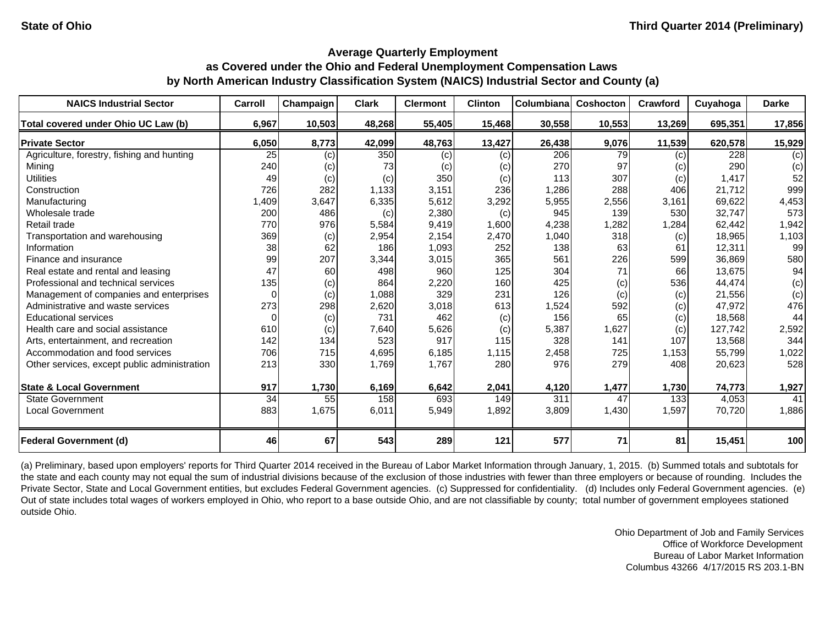| <b>NAICS Industrial Sector</b>               | Carroll         | Champaign | Clark  | <b>Clermont</b> | <b>Clinton</b> | <b>Columbiana</b> | Coshocton | Crawford | Cuyahoga | <b>Darke</b> |
|----------------------------------------------|-----------------|-----------|--------|-----------------|----------------|-------------------|-----------|----------|----------|--------------|
| Total covered under Ohio UC Law (b)          | 6,967           | 10,503    | 48,268 | 55,405          | 15,468         | 30,558            | 10,553    | 13,269   | 695,351  | 17,856       |
| <b>Private Sector</b>                        | 6,050           | 8,773     | 42,099 | 48,763          | 13,427         | 26,438            | 9,076     | 11,539   | 620,578  | 15,929       |
| Agriculture, forestry, fishing and hunting   | 25              | (c)       | 350    | (c)             | (c)            | 206               | 79        | (c)      | 228      | (c)          |
| Minina                                       | 240             | (c)       | 73     | (c)             | (c)            | 270               | 97        | (c)      | 290      | (c)          |
| <b>Utilities</b>                             | 49              | (c)       | (c)    | 350             | (c)            | 113               | 307       | (c)      | 1,417    | 52           |
| Construction                                 | 726             | 282       | 1,133  | 3,151           | 236            | 1,286             | 288       | 406      | 21,712   | 999          |
| Manufacturing                                | 1,409           | 3,647     | 6,335  | 5,612           | 3,292          | 5,955             | 2,556     | 3,161    | 69,622   | 4,453        |
| Wholesale trade                              | 200             | 486       | (c)    | 2,380           | (c)            | 945               | 139       | 530      | 32,747   | 573          |
| Retail trade                                 | 770             | 976       | 5,584  | 9,419           | 1,600          | 4,238             | 1,282     | 1,284    | 62.442   | 1,942        |
| Transportation and warehousing               | 369             | (c)       | 2,954  | 2,154           | 2,470          | 1,040             | 318       | (c)      | 18,965   | 1,103        |
| Information                                  | 38              | 62        | 186    | 1,093           | 252            | 138               | 63        | 61       | 12,311   | 99           |
| Finance and insurance                        | 99              | 207       | 3,344  | 3,015           | 365            | 561               | 226       | 599      | 36,869   | 580          |
| Real estate and rental and leasing           | 47              | 60        | 498    | 960             | 125            | 304               | 71        | 66       | 13,675   | 94           |
| Professional and technical services          | 135             | (c)       | 864    | 2,220           | 160            | 425               | (c)       | 536      | 44,474   | (c)          |
| Management of companies and enterprises      | $\Omega$        | (c)       | 1,088  | 329             | 231            | 126               | (c)       | (c)      | 21,556   | (c)          |
| Administrative and waste services            | 273             | 298       | 2,620  | 3,018           | 613            | 1,524             | 592       | (c)      | 47,972   | 476          |
| <b>Educational services</b>                  | 0               | (c)       | 731    | 462             | (c)            | 156               | 65        | (c)      | 18,568   | 44           |
| Health care and social assistance            | 610             | (c)       | 7,640  | 5,626           | (c)            | 5,387             | 1,627     | (c)      | 127.742  | 2,592        |
| Arts, entertainment, and recreation          | 142             | 134       | 523    | 917             | 115            | 328               | 141       | 107      | 13,568   | 344          |
| Accommodation and food services              | 706             | 715       | 4,695  | 6,185           | 1,115          | 2,458             | 725       | 1,153    | 55,799   | 1,022        |
| Other services, except public administration | 213             | 330       | 1,769  | 1,767           | 280            | 976               | 279       | 408      | 20,623   | 528          |
| <b>State &amp; Local Government</b>          | 917             | 1,730     | 6,169  | 6,642           | 2,041          | 4,120             | 1,477     | 1,730    | 74,773   | 1,927        |
| <b>State Government</b>                      | $\overline{34}$ | 55        | 158    | 693             | 149            | $\overline{311}$  | 47        | 133      | 4,053    | 41           |
| Local Government                             | 883             | 1,675     | 6,011  | 5,949           | 1,892          | 3,809             | 1,430     | 1,597    | 70,720   | 1,886        |
| <b>Federal Government (d)</b>                | 46              | 67        | 543    | 289             | 121            | 577               | 71        | 81       | 15,451   | 100          |

(a) Preliminary, based upon employers' reports for Third Quarter 2014 received in the Bureau of Labor Market Information through January, 1, 2015. (b) Summed totals and subtotals for the state and each county may not equal the sum of industrial divisions because of the exclusion of those industries with fewer than three employers or because of rounding. Includes the Private Sector, State and Local Government entities, but excludes Federal Government agencies. (c) Suppressed for confidentiality. (d) Includes only Federal Government agencies. (e) Out of state includes total wages of workers employed in Ohio, who report to a base outside Ohio, and are not classifiable by county; total number of government employees stationed outside Ohio.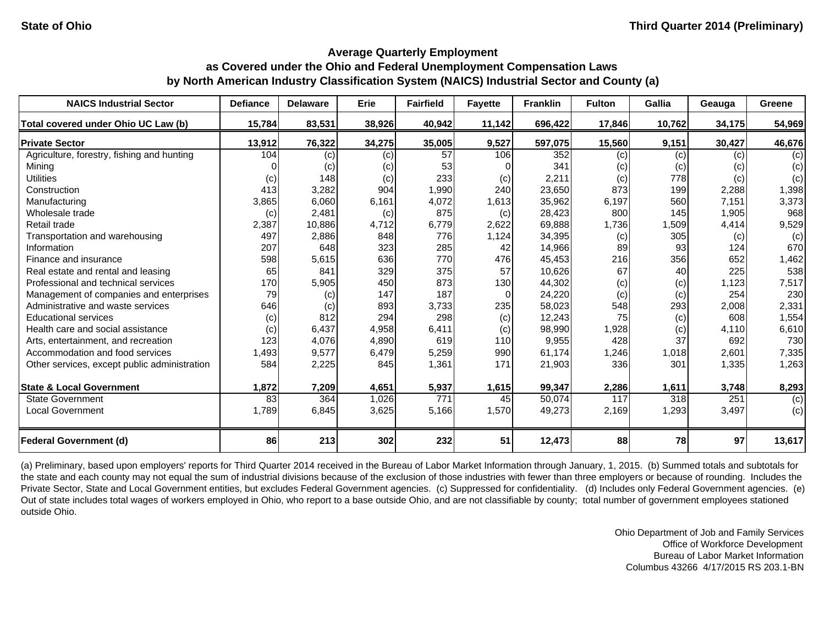| <b>NAICS Industrial Sector</b>               | <b>Defiance</b> | <b>Delaware</b> | Erie   | <b>Fairfield</b> | <b>Fayette</b> | <b>Franklin</b> | <b>Fulton</b> | <b>Gallia</b> | Geauga | Greene |
|----------------------------------------------|-----------------|-----------------|--------|------------------|----------------|-----------------|---------------|---------------|--------|--------|
| Total covered under Ohio UC Law (b)          | 15,784          | 83,531          | 38,926 | 40,942           | 11,142         | 696,422         | 17,846        | 10,762        | 34,175 | 54,969 |
| <b>Private Sector</b>                        | 13,912          | 76,322          | 34,275 | 35,005           | 9,527          | 597,075         | 15,560        | 9,151         | 30,427 | 46,676 |
| Agriculture, forestry, fishing and hunting   | 104             | (c)             | (c)    | 57               | 106            | 352             | (c)           | (c)           | (c)    | (c)    |
| Mining                                       |                 | (c)             | (c)    | 53               |                | 341             | (c)           | (c)           | (c)    | (c)    |
| <b>Utilities</b>                             | (c)             | 148             | (c)    | 233              | (c)            | 2,211           | (c)           | 778           | (c)    | (c)    |
| Construction                                 | 413             | 3,282           | 904    | 1,990            | 240            | 23,650          | 873           | 199           | 2,288  | 1,398  |
| Manufacturing                                | 3,865           | 6,060           | 6,161  | 4,072            | 1,613          | 35,962          | 6,197         | 560           | 7,151  | 3,373  |
| Wholesale trade                              | (c)             | 2,481           | (c)    | 875              | (c)            | 28,423          | 800           | 145           | 1,905  | 968    |
| Retail trade                                 | 2,387           | 10,886          | 4,712  | 6,779            | 2,622          | 69,888          | 1,736         | 1,509         | 4,414  | 9,529  |
| Transportation and warehousing               | 497             | 2,886           | 848    | 776              | 1,124          | 34,395          | (c)           | 305           | (c)    | (c)    |
| Information                                  | 207             | 648             | 323    | 285              | 42             | 14,966          | 89            | 93            | 124    | 670    |
| Finance and insurance                        | 598             | 5,615           | 636    | 770              | 476            | 45,453          | 216           | 356           | 652    | 1,462  |
| Real estate and rental and leasing           | 65              | 841             | 329    | 375              | 57             | 10,626          | 67            | 40            | 225    | 538    |
| Professional and technical services          | 170             | 5,905           | 450    | 873              | 130            | 44,302          | (c)           | (c)           | 1,123  | 7,517  |
| Management of companies and enterprises      | 79              | (c)             | 147    | 187              | $\Omega$       | 24,220          | (c)           | (c)           | 254    | 230    |
| Administrative and waste services            | 646             | (c)             | 893    | 3,733            | 235            | 58,023          | 548           | 293           | 2,008  | 2,331  |
| <b>Educational services</b>                  | (c)             | 812             | 294    | 298              | (c)            | 12,243          | 75            | (c)           | 608    | 1,554  |
| Health care and social assistance            | (c)             | 6,437           | 4,958  | 6,411            | (c)            | 98,990          | 1,928         | (c)           | 4,110  | 6,610  |
| Arts, entertainment, and recreation          | 123             | 4,076           | 4,890  | 619              | 110            | 9,955           | 428           | 37            | 692    | 730    |
| Accommodation and food services              | 1,493           | 9,577           | 6,479  | 5,259            | 990            | 61,174          | 1,246         | 1,018         | 2,601  | 7,335  |
| Other services, except public administration | 584             | 2,225           | 845    | 1,361            | 171            | 21,903          | 336           | 301           | 1,335  | 1,263  |
| <b>State &amp; Local Government</b>          | 1,872           | 7,209           | 4,651  | 5,937            | 1,615          | 99,347          | 2,286         | 1,611         | 3,748  | 8,293  |
| <b>State Government</b>                      | 83              | 364             | 1,026  | 771              | 45             | 50,074          | 117           | 318           | 251    | (c)    |
| <b>Local Government</b>                      | 1,789           | 6,845           | 3,625  | 5,166            | 1,570          | 49,273          | 2,169         | 1,293         | 3,497  | (c)    |
| <b>Federal Government (d)</b>                | 86              | 213             | 302    | 232              | 51             | 12,473          | 88            | 78            | 97     | 13,617 |

(a) Preliminary, based upon employers' reports for Third Quarter 2014 received in the Bureau of Labor Market Information through January, 1, 2015. (b) Summed totals and subtotals for the state and each county may not equal the sum of industrial divisions because of the exclusion of those industries with fewer than three employers or because of rounding. Includes the Private Sector, State and Local Government entities, but excludes Federal Government agencies. (c) Suppressed for confidentiality. (d) Includes only Federal Government agencies. (e) Out of state includes total wages of workers employed in Ohio, who report to a base outside Ohio, and are not classifiable by county; total number of government employees stationed outside Ohio.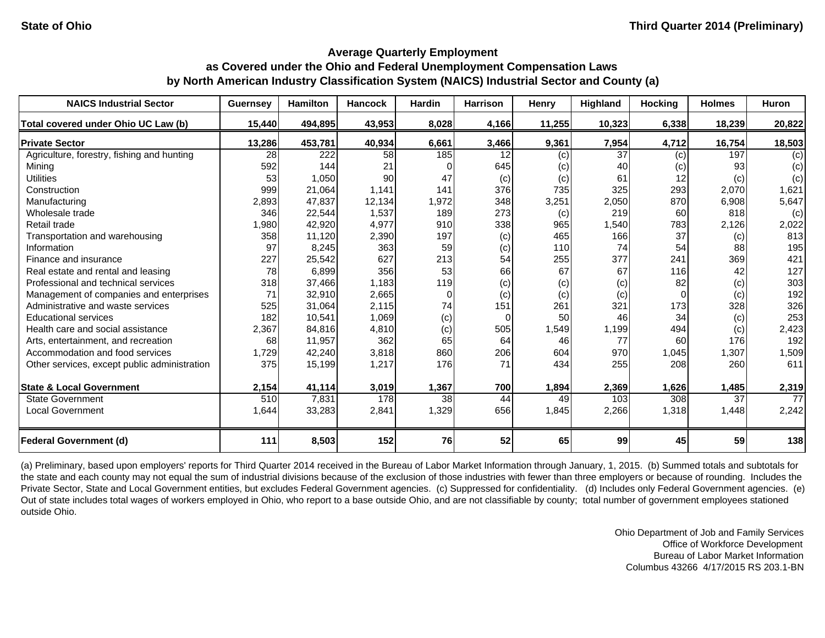| <b>NAICS Industrial Sector</b>               | <b>Guernsey</b> | <b>Hamilton</b> | <b>Hancock</b> | <b>Hardin</b>   | <b>Harrison</b> | Henry  | Highland        | <b>Hocking</b>  | <b>Holmes</b> | Huron  |
|----------------------------------------------|-----------------|-----------------|----------------|-----------------|-----------------|--------|-----------------|-----------------|---------------|--------|
| Total covered under Ohio UC Law (b)          | 15,440          | 494,895         | 43,953         | 8,028           | 4,166           | 11,255 | 10,323          | 6,338           | 18,239        | 20,822 |
| <b>Private Sector</b>                        | 13,286          | 453,781         | 40,934         | 6,661           | 3,466           | 9,361  | 7,954           | 4,712           | 16,754        | 18,503 |
| Agriculture, forestry, fishing and hunting   | 28              | 222             | 58             | 185             | 12              | (c)    | $\overline{37}$ | (c)             | 197           | (c)    |
| Mining                                       | 592             | 144             | 21             | 0               | 645             | (c)    | 40              | (c)             | 93            | (c)    |
| <b>Utilities</b>                             | 53              | 1,050           | 90             | 47              | (c)             | (c)    | 61              | 12 <sup>1</sup> | (c)           | (c)    |
| Construction                                 | 999             | 21,064          | 1,141          | 141             | 376             | 735    | 325             | 293             | 2,070         | 1,621  |
| Manufacturing                                | 2,893           | 47,837          | 12,134         | 1,972           | 348             | 3,251  | 2,050           | 870             | 6,908         | 5,647  |
| Wholesale trade                              | 346             | 22,544          | 1,537          | 189             | 273             | (c)    | 219             | 60              | 818           | (c)    |
| Retail trade                                 | 1,980           | 42,920          | 4,977          | 910             | 338             | 965    | 1,540           | 783             | 2,126         | 2,022  |
| Transportation and warehousing               | 358             | 11,120          | 2,390          | 197             | (c)             | 465    | 166             | 37              | (c)           | 813    |
| Information                                  | 97              | 8,245           | 363            | 59              | (c)             | 110    | 74              | 54              | 88            | 195    |
| Finance and insurance                        | 227             | 25,542          | 627            | 213             | 54              | 255    | 377             | 241             | 369           | 421    |
| Real estate and rental and leasing           | 78              | 6,899           | 356            | 53              | 66              | 67     | 67              | 116             | 42            | 127    |
| Professional and technical services          | 318             | 37,466          | 1,183          | 119             | (c)             | (c)    | (c)             | 82              | (c)           | 303    |
| Management of companies and enterprises      | 71              | 32,910          | 2,665          | $\Omega$        | (c)             | (c)    | (c)             | $\Omega$        | (c)           | 192    |
| Administrative and waste services            | 525             | 31,064          | 2.115          | 74              | 151             | 261    | 321             | 173             | 328           | 326    |
| <b>Educational services</b>                  | 182             | 10,541          | 1,069          | (c)             | 0               | 50     | 46              | 34              | (c)           | 253    |
| Health care and social assistance            | 2,367           | 84,816          | 4,810          | (c)             | 505             | 1,549  | 1,199           | 494             | (c)           | 2,423  |
| Arts, entertainment, and recreation          | 68              | 11,957          | 362            | 65              | 64              | 46     | 77              | 60              | 176           | 192    |
| Accommodation and food services              | 1,729           | 42,240          | 3,818          | 860             | 206             | 604    | 970             | 1,045           | 1,307         | 1,509  |
| Other services, except public administration | 375             | 15,199          | 1,217          | 176             | 71              | 434    | 255             | 208             | 260           | 611    |
| <b>State &amp; Local Government</b>          | 2,154           | 41,114          | 3,019          | 1,367           | 700             | 1,894  | 2,369           | 1,626           | 1,485         | 2,319  |
| <b>State Government</b>                      | 510             | 7,831           | 178            | 38 <sup>l</sup> | 44              | 49     | 103             | 308             | 37            | 77     |
| <b>Local Government</b>                      | 1,644           | 33,283          | 2,841          | 1,329           | 656             | 1,845  | 2,266           | 1,318           | 1,448         | 2,242  |
| <b>Federal Government (d)</b>                | 111             | 8,503           | 152            | 76              | 52              | 65     | 99              | 45              | 59            | 138    |

(a) Preliminary, based upon employers' reports for Third Quarter 2014 received in the Bureau of Labor Market Information through January, 1, 2015. (b) Summed totals and subtotals for the state and each county may not equal the sum of industrial divisions because of the exclusion of those industries with fewer than three employers or because of rounding. Includes the Private Sector, State and Local Government entities, but excludes Federal Government agencies. (c) Suppressed for confidentiality. (d) Includes only Federal Government agencies. (e) Out of state includes total wages of workers employed in Ohio, who report to a base outside Ohio, and are not classifiable by county; total number of government employees stationed outside Ohio.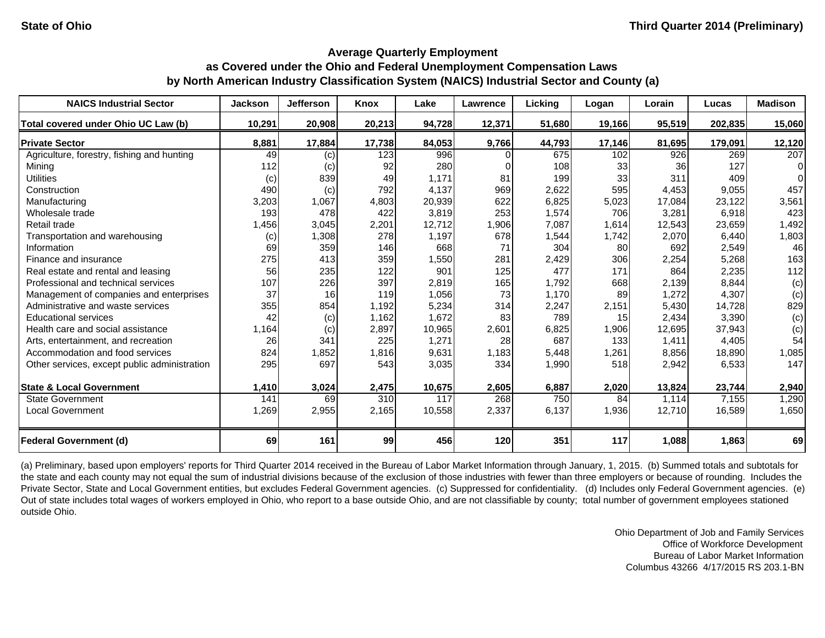| <b>NAICS Industrial Sector</b>               | <b>Jackson</b> | <b>Jefferson</b> | <b>Knox</b> | Lake   | Lawrence | Licking | Logan  | Lorain    | Lucas   | <b>Madison</b> |
|----------------------------------------------|----------------|------------------|-------------|--------|----------|---------|--------|-----------|---------|----------------|
| Total covered under Ohio UC Law (b)          | 10,291         | 20,908           | 20,213      | 94,728 | 12,371   | 51,680  | 19,166 | 95,519    | 202,835 | 15,060         |
| <b>Private Sector</b>                        | 8,881          | 17,884           | 17,738      | 84,053 | 9,766    | 44,793  | 17,146 | 81,695    | 179,091 | 12,120         |
| Agriculture, forestry, fishing and hunting   | 49             | (c)              | 123         | 996    |          | 675     | 102    | 926       | 269     | 207            |
| Mining                                       | 112            | (c)              | 92          | 280    |          | 108     | 33     | <b>36</b> | 127     | $\Omega$       |
| <b>Utilities</b>                             | (c)            | 839              | 49          | 1,171  | 81       | 199     | 33     | 311       | 409     | $\Omega$       |
| Construction                                 | 490            | (c)              | 792         | 4,137  | 969      | 2,622   | 595    | 4,453     | 9,055   | 457            |
| Manufacturing                                | 3,203          | 1,067            | 4,803       | 20,939 | 622      | 6,825   | 5,023  | 17,084    | 23,122  | 3,561          |
| Wholesale trade                              | 193            | 478              | 422         | 3,819  | 253      | 1,574   | 706    | 3,281     | 6,918   | 423            |
| Retail trade                                 | 1,456          | 3,045            | 2,201       | 12,712 | 1,906    | 7,087   | 1,614  | 12,543    | 23,659  | 1,492          |
| Transportation and warehousing               | (c)            | 1,308            | 278         | 1,197  | 678      | 1,544   | 1,742  | 2,070     | 6,440   | 1,803          |
| Information                                  | 69             | 359              | 146         | 668    | 71       | 304     | 80     | 692       | 2,549   | 46             |
| Finance and insurance                        | 275            | 413              | 359         | 1,550  | 281      | 2,429   | 306    | 2,254     | 5,268   | 163            |
| Real estate and rental and leasing           | 56             | 235              | 122         | 901    | 125      | 477     | 171    | 864       | 2,235   | 112            |
| Professional and technical services          | 107            | 226              | 397         | 2,819  | 165      | 1,792   | 668    | 2,139     | 8,844   | (c)            |
| Management of companies and enterprises      | 37             | 16               | 119         | 1,056  | 73       | 1,170   | 89     | 1,272     | 4,307   | (c)            |
| Administrative and waste services            | 355            | 854              | 1,192       | 5,234  | 314      | 2,247   | 2,151  | 5,430     | 14,728  | 829            |
| <b>Educational services</b>                  | 42             | (c)              | 1,162       | 1,672  | 83       | 789     | 15     | 2,434     | 3,390   | (c)            |
| Health care and social assistance            | 1,164          | (c)              | 2,897       | 10,965 | 2,601    | 6,825   | 1,906  | 12,695    | 37,943  | (c)            |
| Arts, entertainment, and recreation          | 26             | 341              | 225         | 1,271  | 28       | 687     | 133    | 1,411     | 4,405   | 54             |
| Accommodation and food services              | 824            | 1,852            | 1,816       | 9,631  | 1,183    | 5,448   | 1,261  | 8,856     | 18,890  | 1,085          |
| Other services, except public administration | 295            | 697              | 543         | 3,035  | 334      | 1,990   | 518    | 2,942     | 6,533   | 147            |
| <b>State &amp; Local Government</b>          | 1,410          | 3,024            | 2,475       | 10,675 | 2,605    | 6,887   | 2,020  | 13,824    | 23,744  | 2,940          |
| <b>State Government</b>                      | 141            | 69               | 310         | 117    | 268      | 750     | 84     | 1,114     | 7,155   | 1,290          |
| <b>Local Government</b>                      | 1,269          | 2,955            | 2,165       | 10,558 | 2,337    | 6,137   | 1,936  | 12,710    | 16,589  | 1,650          |
| <b>Federal Government (d)</b>                | 69             | 161              | 99          | 456    | 120      | 351     | 117    | 1,088     | 1,863   | 69             |

(a) Preliminary, based upon employers' reports for Third Quarter 2014 received in the Bureau of Labor Market Information through January, 1, 2015. (b) Summed totals and subtotals for the state and each county may not equal the sum of industrial divisions because of the exclusion of those industries with fewer than three employers or because of rounding. Includes the Private Sector, State and Local Government entities, but excludes Federal Government agencies. (c) Suppressed for confidentiality. (d) Includes only Federal Government agencies. (e) Out of state includes total wages of workers employed in Ohio, who report to a base outside Ohio, and are not classifiable by county; total number of government employees stationed outside Ohio.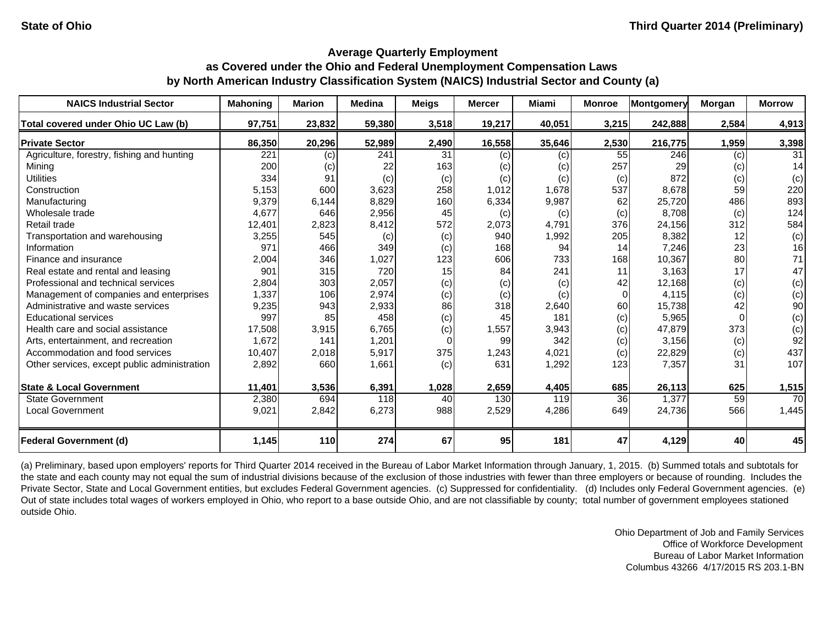| <b>NAICS Industrial Sector</b>               | <b>Mahoning</b> | <b>Marion</b> | <b>Medina</b> | <b>Meigs</b> | <b>Mercer</b> | Miami  | <b>Monroe</b> | <b>Montgomery</b> | Morgan | <b>Morrow</b> |
|----------------------------------------------|-----------------|---------------|---------------|--------------|---------------|--------|---------------|-------------------|--------|---------------|
| Total covered under Ohio UC Law (b)          | 97,751          | 23,832        | 59,380        | 3,518        | 19,217        | 40,051 | 3,215         | 242,888           | 2,584  | 4,913         |
| <b>Private Sector</b>                        | 86,350          | 20,296        | 52,989        | 2,490        | 16,558        | 35,646 | 2,530         | 216,775           | 1,959  | 3,398         |
| Agriculture, forestry, fishing and hunting   | 221             | (c)           | 241           | 31           | (c)           | (c)    | 55            | 246               | (c)    | 31            |
| Mining                                       | 200             | (c)           | 22            | 163          | (c)           | (c)    | 257           | 29                | (c)    | 14            |
| <b>Utilities</b>                             | 334             | 91            | (c)           | (c)          | (c)           | (c)    | (c)           | 872               | (c)    | (c)           |
| Construction                                 | 5,153           | 600           | 3,623         | 258          | 1,012         | 1,678  | 537           | 8,678             | 59     | 220           |
| Manufacturing                                | 9,379           | 6,144         | 8,829         | 160          | 6,334         | 9,987  | 62            | 25,720            | 486    | 893           |
| Wholesale trade                              | 4,677           | 646           | 2,956         | 45           | (c)           | (c)    | (c)           | 8,708             | (c)    | 124           |
| Retail trade                                 | 12,401          | 2,823         | 8,412         | 572          | 2,073         | 4,791  | 376           | 24,156            | 312    | 584           |
| Transportation and warehousing               | 3,255           | 545           | (c)           | (c)          | 940           | 1,992  | 205           | 8,382             | 12     | (c)           |
| Information                                  | 971             | 466           | 349           | (c)          | 168           | 94     | 14            | 7,246             | 23     | 16            |
| Finance and insurance                        | 2,004           | 346           | 1,027         | 123          | 606           | 733    | 168           | 10,367            | 80     | 71            |
| Real estate and rental and leasing           | 901             | 315           | 720           | 15           | 84            | 241    | 11            | 3,163             | 17     | 47            |
| Professional and technical services          | 2,804           | 303           | 2,057         | (c)          | (c)           | (c)    | 42            | 12,168            | (c)    | (c)           |
| Management of companies and enterprises      | 1,337           | 106           | 2,974         | (c)          | (c)           | (c)    | $\Omega$      | 4,115             | (c)    | (c)           |
| Administrative and waste services            | 9,235           | 943           | 2,933         | 86           | 318           | 2,640  | 60            | 15,738            | 42     | 90            |
| <b>Educational services</b>                  | 997             | 85            | 458           | (c)          | 45            | 181    | (c)           | 5,965             |        | (c)           |
| Health care and social assistance            | 17,508          | 3,915         | 6,765         | (c)          | 1,557         | 3,943  | (c)           | 47,879            | 373    | (c)           |
| Arts, entertainment, and recreation          | 1,672           | 141           | 1,201         | $\Omega$     | 99            | 342    | (c)           | 3,156             | (c)    | 92            |
| Accommodation and food services              | 10,407          | 2,018         | 5,917         | 375          | 1,243         | 4,021  | (c)           | 22,829            | (c)    | 437           |
| Other services, except public administration | 2,892           | 660           | 1,661         | (c)          | 631           | 1,292  | 123           | 7,357             | 31     | 107           |
| <b>State &amp; Local Government</b>          | 11,401          | 3,536         | 6,391         | 1,028        | 2,659         | 4,405  | 685           | 26,113            | 625    | 1,515         |
| <b>State Government</b>                      | 2,380           | 694           | 118           | 40           | 130           | 119    | 36            | 1,377             | 59     | 70            |
| <b>Local Government</b>                      | 9,021           | 2,842         | 6,273         | 988          | 2,529         | 4,286  | 649           | 24,736            | 566    | 1,445         |
| <b>Federal Government (d)</b>                | 1,145           | 110           | 274           | 67           | 95            | 181    | 47            | 4,129             | 40     | 45            |

(a) Preliminary, based upon employers' reports for Third Quarter 2014 received in the Bureau of Labor Market Information through January, 1, 2015. (b) Summed totals and subtotals for the state and each county may not equal the sum of industrial divisions because of the exclusion of those industries with fewer than three employers or because of rounding. Includes the Private Sector, State and Local Government entities, but excludes Federal Government agencies. (c) Suppressed for confidentiality. (d) Includes only Federal Government agencies. (e) Out of state includes total wages of workers employed in Ohio, who report to a base outside Ohio, and are not classifiable by county; total number of government employees stationed outside Ohio.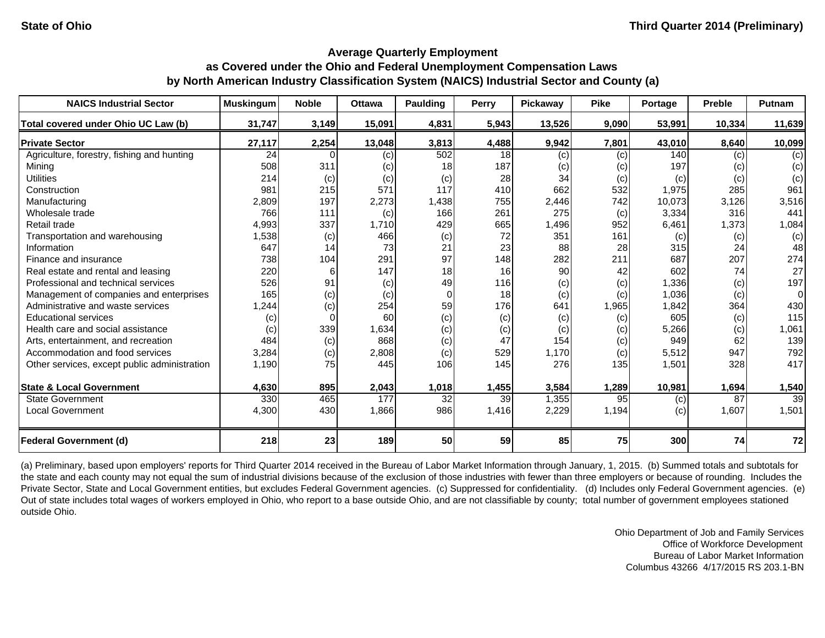| <b>NAICS Industrial Sector</b>               | <b>Muskingum</b> | <b>Noble</b> | <b>Ottawa</b> | <b>Paulding</b> | <b>Perry</b> | <b>Pickawav</b> | <b>Pike</b> | Portage | <b>Preble</b> | <b>Putnam</b> |
|----------------------------------------------|------------------|--------------|---------------|-----------------|--------------|-----------------|-------------|---------|---------------|---------------|
| Total covered under Ohio UC Law (b)          | 31,747           | 3,149        | 15,091        | 4,831           | 5,943        | 13,526          | 9,090       | 53,991  | 10,334        | 11,639        |
| <b>Private Sector</b>                        | 27,117           | 2,254        | 13,048        | 3,813           | 4,488        | 9,942           | 7,801       | 43,010  | 8,640         | 10,099        |
| Agriculture, forestry, fishing and hunting   | 24               |              | (c)           | 502             | 18           | (c)             | (c)         | 140     | (c)           | (c)           |
| Mining                                       | 508              | 311          | (c)           | 18              | 187          | (c)             | (c)         | 197     | (c)           | (c)           |
| <b>Utilities</b>                             | 214              | (c)          | (c)           | (c)             | 28           | 34              | (c)         | (c)     | (c)           | (c)           |
| Construction                                 | 981              | 215          | 571           | 117             | 410          | 662             | 532         | 1,975   | 285           | 961           |
| Manufacturing                                | 2,809            | 197          | 2,273         | 1,438           | 755          | 2,446           | 742         | 10,073  | 3,126         | 3,516         |
| Wholesale trade                              | 766              | 111          | (c)           | 166             | 261          | 275             | (c)         | 3,334   | 316           | 441           |
| Retail trade                                 | 4,993            | 337          | 1,710         | 429             | 665          | 1,496           | 952         | 6,461   | 1,373         | 1,084         |
| Transportation and warehousing               | 1,538            | (c)          | 466           | (c)             | 72           | 351             | 161         | (c)     | (c)           | (c)           |
| Information                                  | 647              | 14           | 73            | 21              | 23           | 88              | 28          | 315     | 24            | 48            |
| Finance and insurance                        | 738              | 104          | 291           | 97              | 148          | 282             | 211         | 687     | 207           | 274           |
| Real estate and rental and leasing           | 220              |              | 147           | 18              | 16           | 90              | 42          | 602     | 74            | 27            |
| Professional and technical services          | 526              | 91           | (c)           | 49              | 116          | (c)             | (c)         | 1,336   | (c)           | 197           |
| Management of companies and enterprises      | 165              | (c)          | (c)           | $\Omega$        | 18           | (c)             | (c)         | 1,036   | (c)           | 0             |
| Administrative and waste services            | 1,244            | (c)          | 254           | 59              | 176          | 641             | ,965        | 1,842   | 364           | 430           |
| <b>Educational services</b>                  | (c)              | 0            | 60            | (c)             | (c)          | (c)             | (c)         | 605     | (c)           | 115           |
| Health care and social assistance            | (c)              | 339          | 1,634         | (c)             | (c)          | (c)             | (c)         | 5,266   | (c)           | 1,061         |
| Arts, entertainment, and recreation          | 484              | (c)          | 868           | (c)             | 47           | 154             | (c)         | 949     | 62            | 139           |
| Accommodation and food services              | 3,284            | (c)          | 2,808         | (c)             | 529          | 1,170           | (c)         | 5,512   | 947           | 792           |
| Other services, except public administration | 1,190            | 75           | 445           | 106             | 145          | 276             | 135         | 1,501   | 328           | 417           |
| <b>State &amp; Local Government</b>          | 4,630            | 895          | 2,043         | 1,018           | 1,455        | 3,584           | 1,289       | 10,981  | 1,694         | 1,540         |
| <b>State Government</b>                      | 330              | 465          | 177           | 32              | 39           | 1,355           | 95          | (c)     | 87            | 39            |
| <b>Local Government</b>                      | 4,300            | 430          | 1,866         | 986             | 1,416        | 2,229           | 1,194       | (c)     | 1,607         | 1,501         |
| <b>Federal Government (d)</b>                | 218              | 23           | 189           | 50              | 59           | 85              | 75          | 300     | 74            | 72            |

(a) Preliminary, based upon employers' reports for Third Quarter 2014 received in the Bureau of Labor Market Information through January, 1, 2015. (b) Summed totals and subtotals for the state and each county may not equal the sum of industrial divisions because of the exclusion of those industries with fewer than three employers or because of rounding. Includes the Private Sector, State and Local Government entities, but excludes Federal Government agencies. (c) Suppressed for confidentiality. (d) Includes only Federal Government agencies. (e) Out of state includes total wages of workers employed in Ohio, who report to a base outside Ohio, and are not classifiable by county; total number of government employees stationed outside Ohio.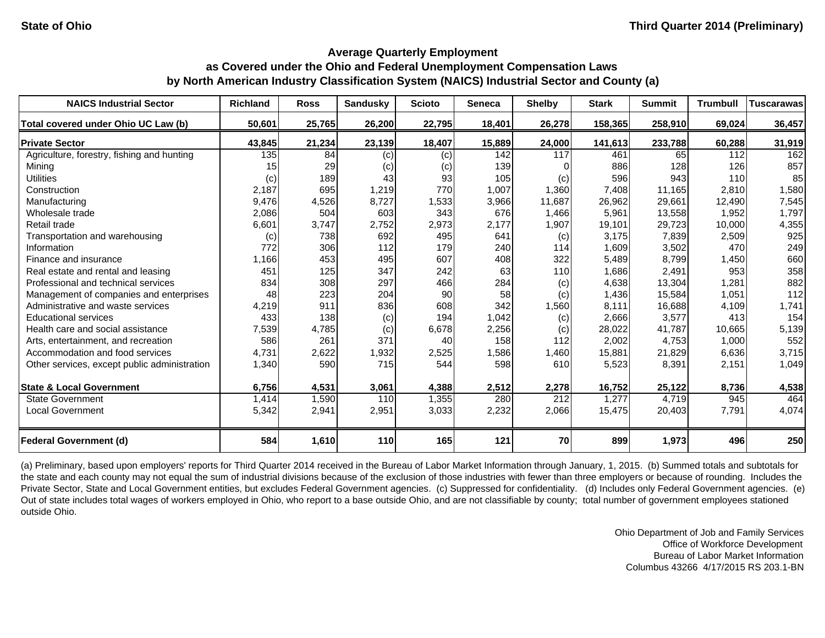| <b>NAICS Industrial Sector</b>               | <b>Richland</b> | <b>Ross</b> | <b>Sandusky</b> | <b>Scioto</b> | <b>Seneca</b> | <b>Shelby</b> | <b>Stark</b> | <b>Summit</b> | <b>Trumbull</b> | <b>Tuscarawas</b> |
|----------------------------------------------|-----------------|-------------|-----------------|---------------|---------------|---------------|--------------|---------------|-----------------|-------------------|
| Total covered under Ohio UC Law (b)          | 50,601          | 25,765      | 26,200          | 22,795        | 18,401        | 26,278        | 158,365      | 258,910       | 69,024          | 36,457            |
| <b>Private Sector</b>                        | 43,845          | 21,234      | 23,139          | 18,407        | 15,889        | 24,000        | 141,613      | 233,788       | 60,288          | 31,919            |
| Agriculture, forestry, fishing and hunting   | 135             | 84          | (c)             | (c)           | 142           | 117           | 461          | 65            | 112             | 162               |
| Mining                                       | 15 <sup>1</sup> | 29          | (c)             | (c)           | 139           |               | 886          | 128           | 126             | 857               |
| <b>Utilities</b>                             | (c)             | 189         | 43              | 93            | 105           | (c)           | 596          | 943           | 110             | 85                |
| Construction                                 | 2,187           | 695         | 1,219           | 770           | 1,007         | 1,360         | 7,408        | 11,165        | 2,810           | 1,580             |
| Manufacturing                                | 9,476           | 4,526       | 8,727           | 1,533         | 3,966         | 11,687        | 26,962       | 29,661        | 12,490          | 7,545             |
| Wholesale trade                              | 2,086           | 504         | 603             | 343           | 676           | 1,466         | 5,961        | 13,558        | 1,952           | 1,797             |
| Retail trade                                 | 6,601           | 3,747       | 2,752           | 2,973         | 2,177         | 1,907         | 19,101       | 29,723        | 10,000          | 4,355             |
| Transportation and warehousing               | (c)             | 738         | 692             | 495           | 641           | (c)           | 3,175        | 7,839         | 2,509           | 925               |
| Information                                  | 772             | 306         | 112             | 179           | 240           | 114           | 1,609        | 3,502         | 470             | 249               |
| Finance and insurance                        | 1,166           | 453         | 495             | 607           | 408           | 322           | 5,489        | 8,799         | 1,450           | 660               |
| Real estate and rental and leasing           | 451             | 125         | 347             | 242           | 63            | 110           | 1,686        | 2,491         | 953             | 358               |
| Professional and technical services          | 834             | 308         | 297             | 466           | 284           | (c)           | 4,638        | 13,304        | 1,281           | 882               |
| Management of companies and enterprises      | 48              | 223         | 204             | 90            | 58            | (c)           | 1,436        | 15,584        | 1,051           | 112               |
| Administrative and waste services            | 4,219           | 911         | 836             | 608           | 342           | 1,560         | 8,111        | 16,688        | 4,109           | 1,741             |
| <b>Educational services</b>                  | 433             | 138         | (c)             | 194           | 1,042         | (c)           | 2,666        | 3,577         | 413             | 154               |
| Health care and social assistance            | 7,539           | 4,785       | (c)             | 6,678         | 2,256         | (c)           | 28,022       | 41.787        | 10,665          | 5,139             |
| Arts, entertainment, and recreation          | 586             | 261         | 371             | 40            | 158           | 112           | 2,002        | 4,753         | 1,000           | 552               |
| Accommodation and food services              | 4.731           | 2,622       | 1,932           | 2,525         | 1,586         | 1,460         | 15.881       | 21,829        | 6,636           | 3,715             |
| Other services, except public administration | 1,340           | 590         | 715             | 544           | 598           | 610           | 5,523        | 8,391         | 2,151           | 1,049             |
| <b>State &amp; Local Government</b>          | 6,756           | 4,531       | 3,061           | 4,388         | 2,512         | 2,278         | 16,752       | 25,122        | 8,736           | 4,538             |
| <b>State Government</b>                      | 1,414           | 1,590       | 110             | 1,355         | 280           | 212           | 1,277        | 4,719         | 945             | 464               |
| Local Government                             | 5,342           | 2,941       | 2,951           | 3,033         | 2,232         | 2,066         | 15,475       | 20,403        | 7,791           | 4,074             |
| <b>Federal Government (d)</b>                | 584             | 1,610       | 110             | 165           | 121           | <b>70</b>     | 899          | 1,973         | 496             | 250               |

(a) Preliminary, based upon employers' reports for Third Quarter 2014 received in the Bureau of Labor Market Information through January, 1, 2015. (b) Summed totals and subtotals for the state and each county may not equal the sum of industrial divisions because of the exclusion of those industries with fewer than three employers or because of rounding. Includes the Private Sector, State and Local Government entities, but excludes Federal Government agencies. (c) Suppressed for confidentiality. (d) Includes only Federal Government agencies. (e) Out of state includes total wages of workers employed in Ohio, who report to a base outside Ohio, and are not classifiable by county; total number of government employees stationed outside Ohio.